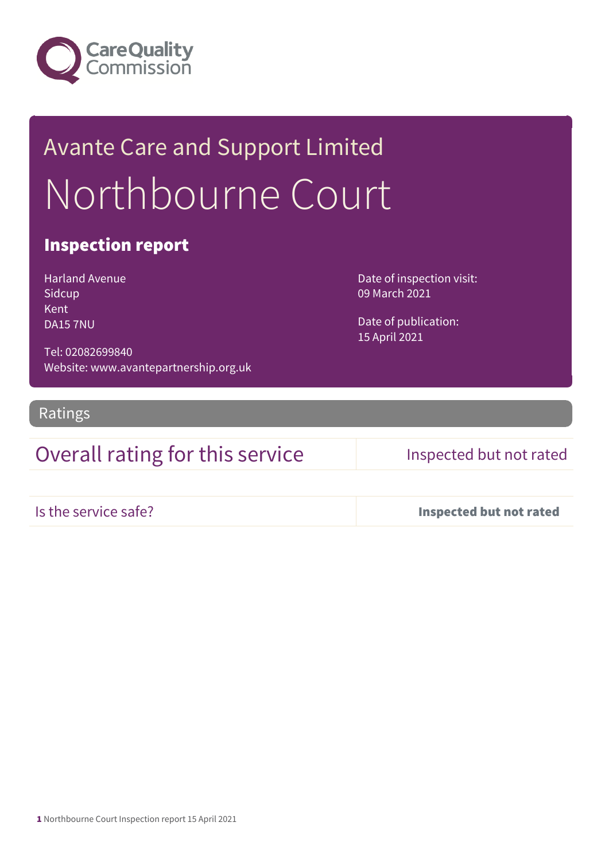

# Avante Care and Support Limited Northbourne Court

### Inspection report

Harland Avenue Sidcup Kent DA15 7NU

Date of inspection visit: 09 March 2021

Date of publication: 15 April 2021

Tel: 02082699840 Website: www.avantepartnership.org.uk

Ratings

### Overall rating for this service Inspected but not rated

Is the service safe? Inspected but not rated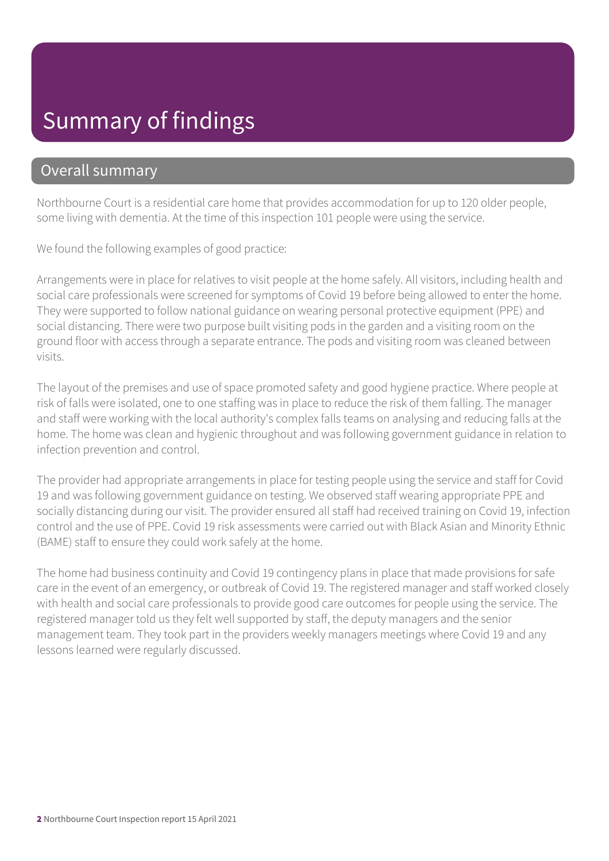## Summary of findings

### Overall summary

Northbourne Court is a residential care home that provides accommodation for up to 120 older people, some living with dementia. At the time of this inspection 101 people were using the service.

We found the following examples of good practice:

Arrangements were in place for relatives to visit people at the home safely. All visitors, including health and social care professionals were screened for symptoms of Covid 19 before being allowed to enter the home. They were supported to follow national guidance on wearing personal protective equipment (PPE) and social distancing. There were two purpose built visiting pods in the garden and a visiting room on the ground floor with access through a separate entrance. The pods and visiting room was cleaned between visits.

The layout of the premises and use of space promoted safety and good hygiene practice. Where people at risk of falls were isolated, one to one staffing was in place to reduce the risk of them falling. The manager and staff were working with the local authority's complex falls teams on analysing and reducing falls at the home. The home was clean and hygienic throughout and was following government guidance in relation to infection prevention and control.

The provider had appropriate arrangements in place for testing people using the service and staff for Covid 19 and was following government guidance on testing. We observed staff wearing appropriate PPE and socially distancing during our visit. The provider ensured all staff had received training on Covid 19, infection control and the use of PPE. Covid 19 risk assessments were carried out with Black Asian and Minority Ethnic (BAME) staff to ensure they could work safely at the home.

The home had business continuity and Covid 19 contingency plans in place that made provisions for safe care in the event of an emergency, or outbreak of Covid 19. The registered manager and staff worked closely with health and social care professionals to provide good care outcomes for people using the service. The registered manager told us they felt well supported by staff, the deputy managers and the senior management team. They took part in the providers weekly managers meetings where Covid 19 and any lessons learned were regularly discussed.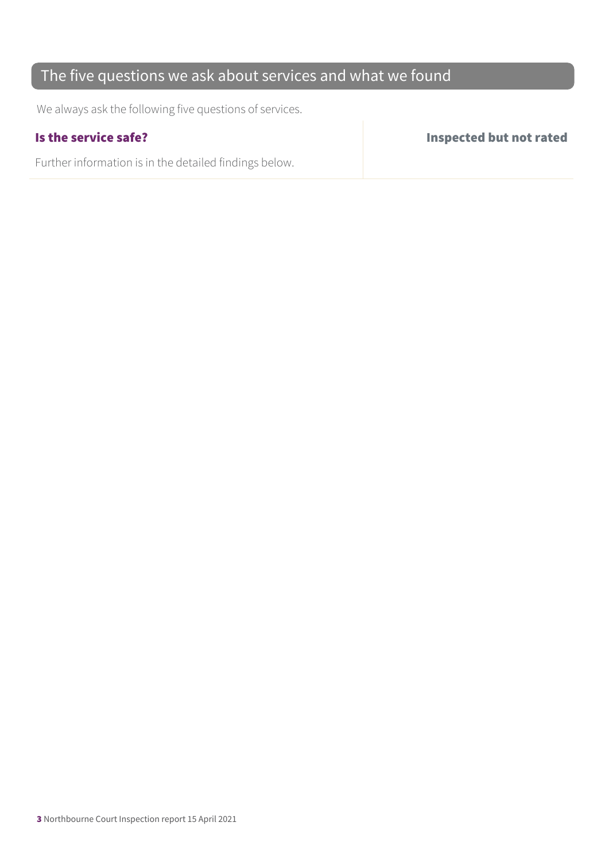### The five questions we ask about services and what we found

We always ask the following five questions of services.

Further information is in the detailed findings below.

Is the service safe? Inspected but not rated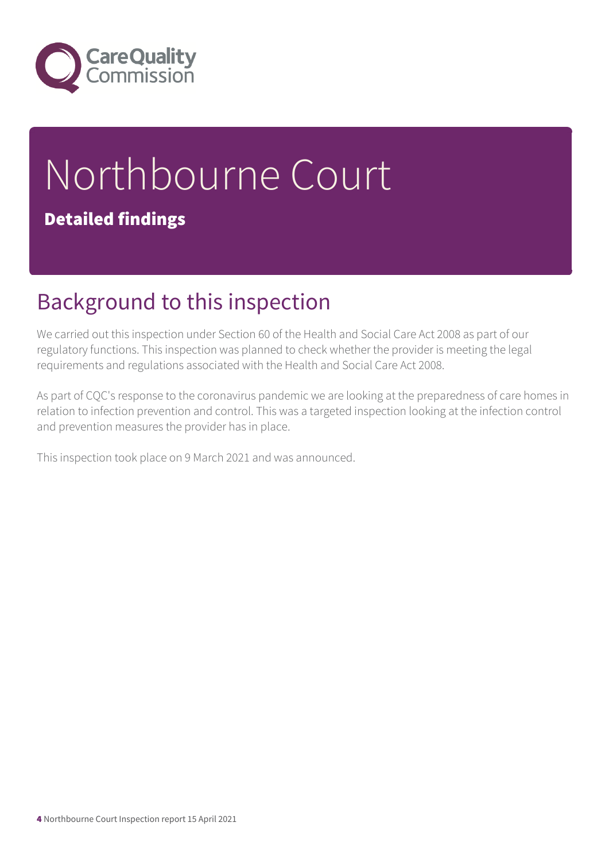

# Northbourne Court Detailed findings

## Background to this inspection

We carried out this inspection under Section 60 of the Health and Social Care Act 2008 as part of our regulatory functions. This inspection was planned to check whether the provider is meeting the legal requirements and regulations associated with the Health and Social Care Act 2008.

As part of CQC's response to the coronavirus pandemic we are looking at the preparedness of care homes in relation to infection prevention and control. This was a targeted inspection looking at the infection control and prevention measures the provider has in place.

This inspection took place on 9 March 2021 and was announced.